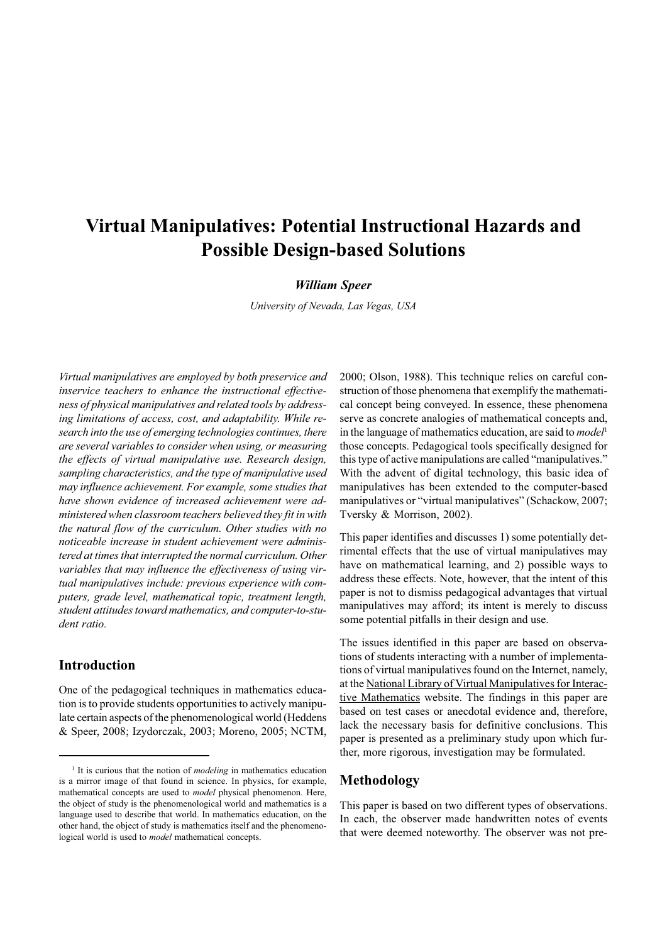# **Virtual Manipulatives: Potential Instructional Hazards and Possible Design-based Solutions**

#### *William Speer*

*University of Nevada, Las Vegas, USA*

*Virtual manipulatives are employed by both preservice and inservice teachers to enhance the instructional effectiveness of physical manipulatives and related tools by addressing limitations of access, cost, and adaptability. While research into the use of emerging technologies continues, there are several variables to consider when using, or measuring the effects of virtual manipulative use. Research design, sampling characteristics, and the type of manipulative used may influence achievement. For example, some studies that have shown evidence of increased achievement were administered when classroom teachers believed they fit in with the natural flow of the curriculum. Other studies with no noticeable increase in student achievement were administered at times that interrupted the normal curriculum. Other variables that may influence the effectiveness of using virtual manipulatives include: previous experience with computers, grade level, mathematical topic, treatment length, student attitudes toward mathematics, and computer-to-student ratio.*

#### **Introduction**

One of the pedagogical techniques in mathematics education is to provide students opportunities to actively manipulate certain aspects of the phenomenological world (Heddens & Speer, 2008; Izydorczak, 2003; Moreno, 2005; NCTM,

2000; Olson, 1988). This technique relies on careful construction of those phenomena that exemplify the mathematical concept being conveyed. In essence, these phenomena serve as concrete analogies of mathematical concepts and, in the language of mathematics education, are said to *model*<sup>1</sup> those concepts. Pedagogical tools specifically designed for this type of active manipulations are called "manipulatives." With the advent of digital technology, this basic idea of manipulatives has been extended to the computer-based manipulatives or "virtual manipulatives" (Schackow, 2007; Tversky & Morrison, 2002).

This paper identifies and discusses 1) some potentially detrimental effects that the use of virtual manipulatives may have on mathematical learning, and 2) possible ways to address these effects. Note, however, that the intent of this paper is not to dismiss pedagogical advantages that virtual manipulatives may afford; its intent is merely to discuss some potential pitfalls in their design and use.

The issues identified in this paper are based on observations of students interacting with a number of implementations of virtual manipulatives found on the Internet, namely, at the National Library of Virtual Manipulatives for Interactive Mathematics website. The findings in this paper are based on test cases or anecdotal evidence and, therefore, lack the necessary basis for definitive conclusions. This paper is presented as a preliminary study upon which further, more rigorous, investigation may be formulated.

# **Methodology**

This paper is based on two different types of observations. In each, the observer made handwritten notes of events that were deemed noteworthy. The observer was not pre-

<sup>&</sup>lt;sup>1</sup> It is curious that the notion of *modeling* in mathematics education is a mirror image of that found in science. In physics, for example, mathematical concepts are used to *model* physical phenomenon. Here, the object of study is the phenomenological world and mathematics is a language used to describe that world. In mathematics education, on the other hand, the object of study is mathematics itself and the phenomenological world is used to *model* mathematical concepts.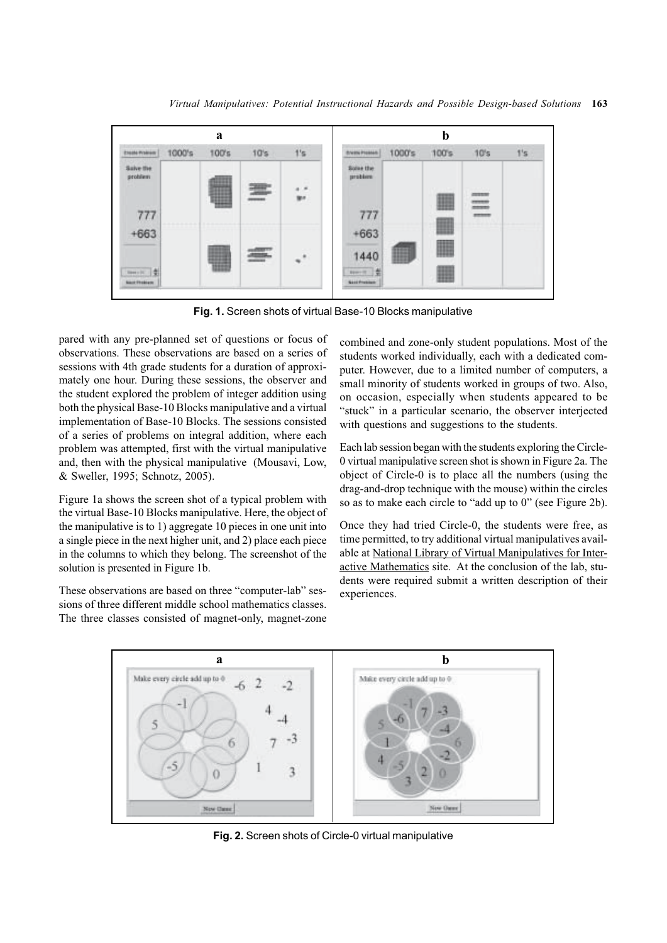

**Fig. 1.** Screen shots of virtual Base-10 Blocks manipulative

pared with any pre-planned set of questions or focus of observations. These observations are based on a series of sessions with 4th grade students for a duration of approximately one hour. During these sessions, the observer and the student explored the problem of integer addition using both the physical Base-10 Blocks manipulative and a virtual implementation of Base-10 Blocks. The sessions consisted of a series of problems on integral addition, where each problem was attempted, first with the virtual manipulative and, then with the physical manipulative (Mousavi, Low, & Sweller, 1995; Schnotz, 2005).

Figure 1a shows the screen shot of a typical problem with the virtual Base-10 Blocks manipulative. Here, the object of the manipulative is to 1) aggregate 10 pieces in one unit into a single piece in the next higher unit, and 2) place each piece in the columns to which they belong. The screenshot of the solution is presented in Figure 1b.

These observations are based on three "computer-lab" sessions of three different middle school mathematics classes. The three classes consisted of magnet-only, magnet-zone combined and zone-only student populations. Most of the students worked individually, each with a dedicated computer. However, due to a limited number of computers, a small minority of students worked in groups of two. Also, on occasion, especially when students appeared to be "stuck" in a particular scenario, the observer interjected with questions and suggestions to the students.

Each lab session began with the students exploring the Circle-0 virtual manipulative screen shot is shown in Figure 2a. The object of Circle-0 is to place all the numbers (using the drag-and-drop technique with the mouse) within the circles so as to make each circle to "add up to 0" (see Figure 2b).

Once they had tried Circle-0, the students were free, as time permitted, to try additional virtual manipulatives available at National Library of Virtual Manipulatives for Interactive Mathematics site. At the conclusion of the lab, students were required submit a written description of their experiences.



**Fig. 2.** Screen shots of Circle-0 virtual manipulative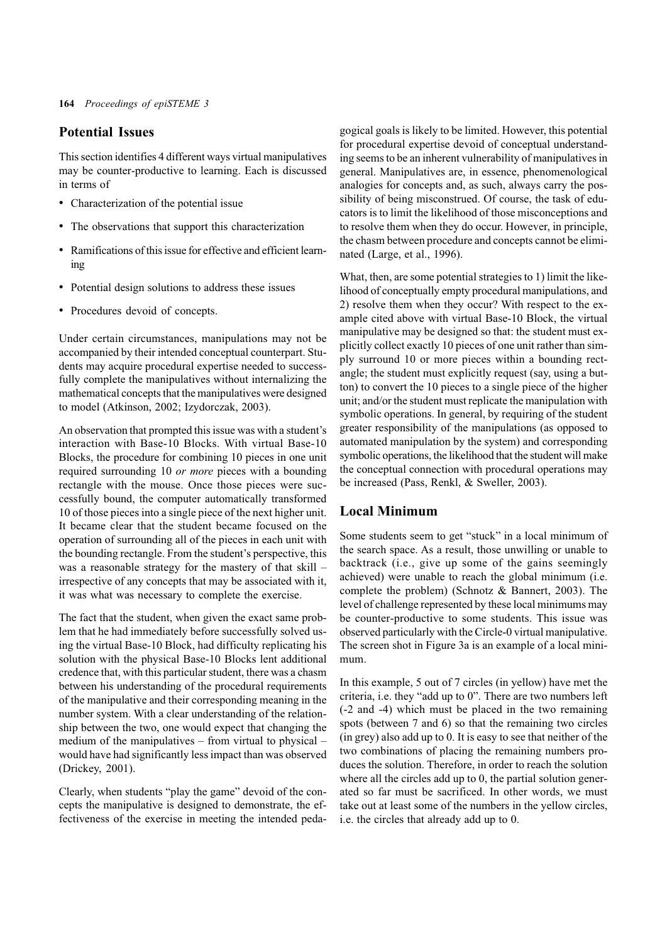# **Potential Issues**

This section identifies 4 different ways virtual manipulatives may be counter-productive to learning. Each is discussed in terms of

- Characterization of the potential issue
- The observations that support this characterization
- Ramifications of this issue for effective and efficient learning
- Potential design solutions to address these issues
- Procedures devoid of concepts.

Under certain circumstances, manipulations may not be accompanied by their intended conceptual counterpart. Students may acquire procedural expertise needed to successfully complete the manipulatives without internalizing the mathematical concepts that the manipulatives were designed to model (Atkinson, 2002; Izydorczak, 2003).

An observation that prompted this issue was with a student's interaction with Base-10 Blocks. With virtual Base-10 Blocks, the procedure for combining 10 pieces in one unit required surrounding 10 *or more* pieces with a bounding rectangle with the mouse. Once those pieces were successfully bound, the computer automatically transformed 10 of those pieces into a single piece of the next higher unit. It became clear that the student became focused on the operation of surrounding all of the pieces in each unit with the bounding rectangle. From the student's perspective, this was a reasonable strategy for the mastery of that skill – irrespective of any concepts that may be associated with it, it was what was necessary to complete the exercise.

The fact that the student, when given the exact same problem that he had immediately before successfully solved using the virtual Base-10 Block, had difficulty replicating his solution with the physical Base-10 Blocks lent additional credence that, with this particular student, there was a chasm between his understanding of the procedural requirements of the manipulative and their corresponding meaning in the number system. With a clear understanding of the relationship between the two, one would expect that changing the medium of the manipulatives – from virtual to physical – would have had significantly less impact than was observed (Drickey, 2001).

Clearly, when students "play the game" devoid of the concepts the manipulative is designed to demonstrate, the effectiveness of the exercise in meeting the intended peda-

gogical goals is likely to be limited. However, this potential for procedural expertise devoid of conceptual understanding seems to be an inherent vulnerability of manipulatives in general. Manipulatives are, in essence, phenomenological analogies for concepts and, as such, always carry the possibility of being misconstrued. Of course, the task of educators is to limit the likelihood of those misconceptions and to resolve them when they do occur. However, in principle, the chasm between procedure and concepts cannot be eliminated (Large, et al., 1996).

What, then, are some potential strategies to 1) limit the likelihood of conceptually empty procedural manipulations, and 2) resolve them when they occur? With respect to the example cited above with virtual Base-10 Block, the virtual manipulative may be designed so that: the student must explicitly collect exactly 10 pieces of one unit rather than simply surround 10 or more pieces within a bounding rectangle; the student must explicitly request (say, using a button) to convert the 10 pieces to a single piece of the higher unit; and/or the student must replicate the manipulation with symbolic operations. In general, by requiring of the student greater responsibility of the manipulations (as opposed to automated manipulation by the system) and corresponding symbolic operations, the likelihood that the student will make the conceptual connection with procedural operations may be increased (Pass, Renkl, & Sweller, 2003).

### **Local Minimum**

Some students seem to get "stuck" in a local minimum of the search space. As a result, those unwilling or unable to backtrack (i.e., give up some of the gains seemingly achieved) were unable to reach the global minimum (i.e. complete the problem) (Schnotz & Bannert, 2003). The level of challenge represented by these local minimums may be counter-productive to some students. This issue was observed particularly with the Circle-0 virtual manipulative. The screen shot in Figure 3a is an example of a local minimum.

In this example, 5 out of 7 circles (in yellow) have met the criteria, i.e. they "add up to 0". There are two numbers left (-2 and -4) which must be placed in the two remaining spots (between 7 and 6) so that the remaining two circles (in grey) also add up to 0. It is easy to see that neither of the two combinations of placing the remaining numbers produces the solution. Therefore, in order to reach the solution where all the circles add up to 0, the partial solution generated so far must be sacrificed. In other words, we must take out at least some of the numbers in the yellow circles, i.e. the circles that already add up to 0.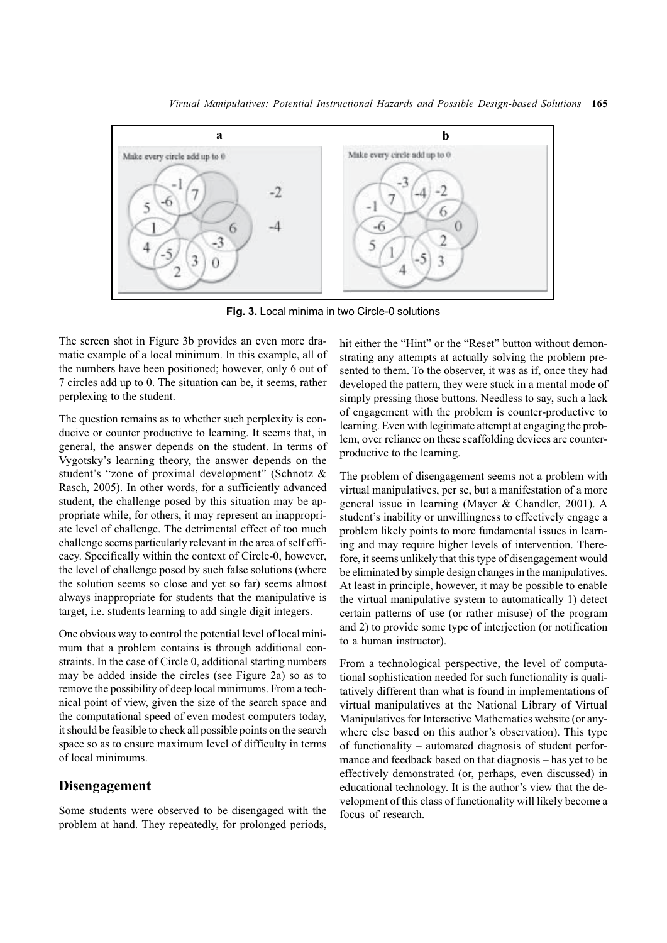

**Fig. 3.** Local minima in two Circle-0 solutions

The screen shot in Figure 3b provides an even more dramatic example of a local minimum. In this example, all of the numbers have been positioned; however, only 6 out of 7 circles add up to 0. The situation can be, it seems, rather perplexing to the student.

The question remains as to whether such perplexity is conducive or counter productive to learning. It seems that, in general, the answer depends on the student. In terms of Vygotsky's learning theory, the answer depends on the student's "zone of proximal development" (Schnotz & Rasch, 2005). In other words, for a sufficiently advanced student, the challenge posed by this situation may be appropriate while, for others, it may represent an inappropriate level of challenge. The detrimental effect of too much challenge seems particularly relevant in the area of self efficacy. Specifically within the context of Circle-0, however, the level of challenge posed by such false solutions (where the solution seems so close and yet so far) seems almost always inappropriate for students that the manipulative is target, i.e. students learning to add single digit integers.

One obvious way to control the potential level of local minimum that a problem contains is through additional constraints. In the case of Circle 0, additional starting numbers may be added inside the circles (see Figure 2a) so as to remove the possibility of deep local minimums. From a technical point of view, given the size of the search space and the computational speed of even modest computers today, it should be feasible to check all possible points on the search space so as to ensure maximum level of difficulty in terms of local minimums.

#### **Disengagement**

Some students were observed to be disengaged with the problem at hand. They repeatedly, for prolonged periods,

hit either the "Hint" or the "Reset" button without demonstrating any attempts at actually solving the problem presented to them. To the observer, it was as if, once they had developed the pattern, they were stuck in a mental mode of simply pressing those buttons. Needless to say, such a lack of engagement with the problem is counter-productive to learning. Even with legitimate attempt at engaging the problem, over reliance on these scaffolding devices are counterproductive to the learning.

The problem of disengagement seems not a problem with virtual manipulatives, per se, but a manifestation of a more general issue in learning (Mayer & Chandler, 2001). A student's inability or unwillingness to effectively engage a problem likely points to more fundamental issues in learning and may require higher levels of intervention. Therefore, it seems unlikely that this type of disengagement would be eliminated by simple design changes in the manipulatives. At least in principle, however, it may be possible to enable the virtual manipulative system to automatically 1) detect certain patterns of use (or rather misuse) of the program and 2) to provide some type of interjection (or notification to a human instructor).

From a technological perspective, the level of computational sophistication needed for such functionality is qualitatively different than what is found in implementations of virtual manipulatives at the National Library of Virtual Manipulatives for Interactive Mathematics website (or anywhere else based on this author's observation). This type of functionality – automated diagnosis of student performance and feedback based on that diagnosis – has yet to be effectively demonstrated (or, perhaps, even discussed) in educational technology. It is the author's view that the development of this class of functionality will likely become a focus of research.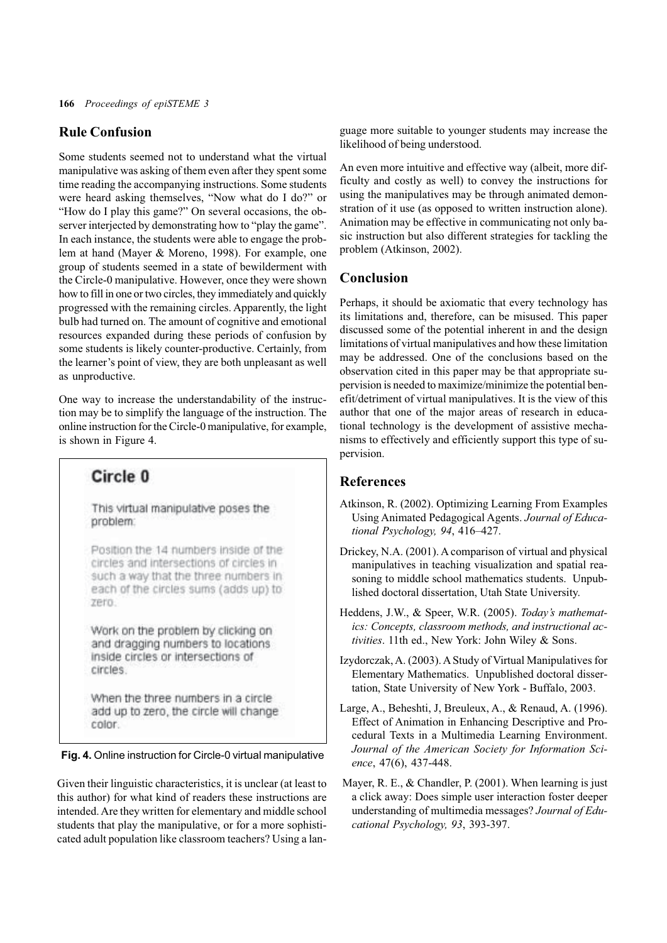# **Rule Confusion**

Some students seemed not to understand what the virtual manipulative was asking of them even after they spent some time reading the accompanying instructions. Some students were heard asking themselves, "Now what do I do?" or "How do I play this game?" On several occasions, the observer interjected by demonstrating how to "play the game". In each instance, the students were able to engage the problem at hand (Mayer & Moreno, 1998). For example, one group of students seemed in a state of bewilderment with the Circle-0 manipulative. However, once they were shown how to fill in one or two circles, they immediately and quickly progressed with the remaining circles. Apparently, the light bulb had turned on. The amount of cognitive and emotional resources expanded during these periods of confusion by some students is likely counter-productive. Certainly, from the learner's point of view, they are both unpleasant as well as unproductive.

One way to increase the understandability of the instruction may be to simplify the language of the instruction. The online instruction for the Circle-0 manipulative, for example, is shown in Figure 4.

# Circle 0

This virtual manipulative poses the problem:

Position the 14 numbers inside of the circles and intersections of circles in such a way that the three numbers in each of the circles sums (adds up) to Zero.

Work on the problem by clicking on and dragging numbers to locations inside circles or intersections of circles.

When the three numbers in a circle add up to zero, the circle will change color.

**Fig. 4.** Online instruction for Circle-0 virtual manipulative

Given their linguistic characteristics, it is unclear (at least to this author) for what kind of readers these instructions are intended. Are they written for elementary and middle school students that play the manipulative, or for a more sophisticated adult population like classroom teachers? Using a language more suitable to younger students may increase the likelihood of being understood.

An even more intuitive and effective way (albeit, more difficulty and costly as well) to convey the instructions for using the manipulatives may be through animated demonstration of it use (as opposed to written instruction alone). Animation may be effective in communicating not only basic instruction but also different strategies for tackling the problem (Atkinson, 2002).

# **Conclusion**

Perhaps, it should be axiomatic that every technology has its limitations and, therefore, can be misused. This paper discussed some of the potential inherent in and the design limitations of virtual manipulatives and how these limitation may be addressed. One of the conclusions based on the observation cited in this paper may be that appropriate supervision is needed to maximize/minimize the potential benefit/detriment of virtual manipulatives. It is the view of this author that one of the major areas of research in educational technology is the development of assistive mechanisms to effectively and efficiently support this type of supervision.

#### **References**

- Atkinson, R. (2002). Optimizing Learning From Examples Using Animated Pedagogical Agents. *Journal of Educational Psychology, 94*, 416–427.
- Drickey, N.A. (2001). A comparison of virtual and physical manipulatives in teaching visualization and spatial reasoning to middle school mathematics students. Unpublished doctoral dissertation, Utah State University.
- Heddens, J.W., & Speer, W.R. (2005). *Today's mathematics: Concepts, classroom methods, and instructional activities*. 11th ed., New York: John Wiley & Sons.
- Izydorczak, A. (2003). A Study of Virtual Manipulatives for Elementary Mathematics. Unpublished doctoral dissertation, State University of New York - Buffalo, 2003.
- Large, A., Beheshti, J, Breuleux, A., & Renaud, A. (1996). Effect of Animation in Enhancing Descriptive and Procedural Texts in a Multimedia Learning Environment. *Journal of the American Society for Information Science*, 47(6), 437-448.
- Mayer, R. E., & Chandler, P. (2001). When learning is just a click away: Does simple user interaction foster deeper understanding of multimedia messages? *Journal of Educational Psychology, 93*, 393-397.